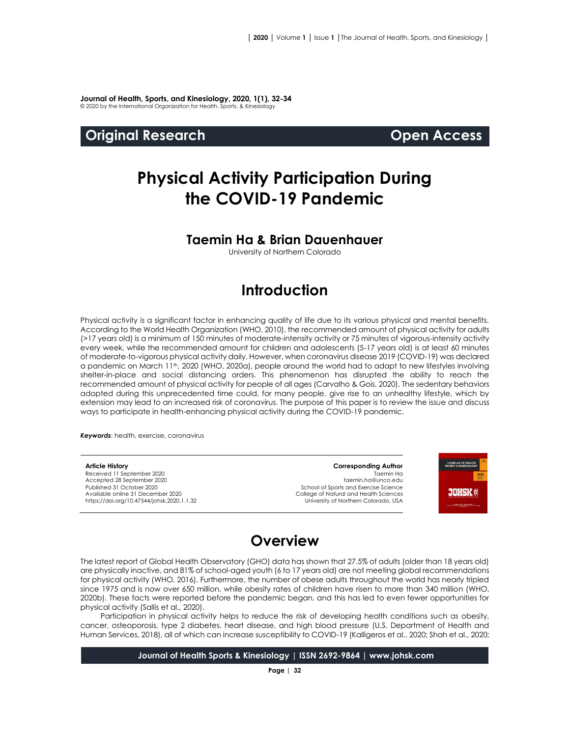**Journal of Health, Sports, and Kinesiology, 2020, 1(1), 32-34** © 2020 by the International Organization for Health, Sports, & Kinesiology

### **Original Research Open Access**

# **Physical Activity Participation During the COVID-19 Pandemic**

### **Taemin Ha & Brian Dauenhauer**

University of Northern Colorado

# **Introduction**

Physical activity is a significant factor in enhancing quality of life due to its various physical and mental benefits. According to the World Health Organization (WHO, 2010), the recommended amount of physical activity for adults (>17 years old) is a minimum of 150 minutes of moderate-intensity activity or 75 minutes of vigorous-intensity activity every week, while the recommended amount for children and adolescents (5-17 years old) is at least 60 minutes of moderate-to-vigorous physical activity daily. However, when coronavirus disease 2019 (COVID-19) was declared a pandemic on March 11th, 2020 (WHO, 2020a), people around the world had to adapt to new lifestyles involving shelter-in-place and social distancing orders. This phenomenon has disrupted the ability to reach the recommended amount of physical activity for people of all ages (Carvalho & Gois, 2020). The sedentary behaviors adopted during this unprecedented time could, for many people, give rise to an unhealthy lifestyle, which by extension may lead to an increased risk of coronavirus. The purpose of this paper is to review the issue and discuss ways to participate in health-enhancing physical activity during the COVID-19 pandemic.

*Keywords*: health, exercise, coronavirus

#### **Article History**

Received 11 September 2020 Accepted 28 September 2020 Published 31 October 2020 Available online 31 December 2020 [https://doi.org/10.47544/johsk.2020.1.1.3](https://doi.org/10.47544/johsk.2020.1.1.9)2

### **Corresponding Author** Taemin Ha taemin.ha@unco.edu

School of Sports and Exercise Science College of Natural and Health Sciences University of Northern Colorado, USA



# **Overview**

The latest report of Global Health Observatory (GHO) data has shown that 27.5% of adults (older than 18 years old) are physically inactive, and 81% of school-aged youth (6 to 17 years old) are not meeting global recommendations for physical activity (WHO, 2016). Furthermore, the number of obese adults throughout the world has nearly tripled since 1975 and is now over 650 million, while obesity rates of children have risen to more than 340 million (WHO, 2020b). These facts were reported before the pandemic began, and this has led to even fewer opportunities for physical activity (Sallis et al., 2020).

Participation in physical activity helps to reduce the risk of developing health conditions such as obesity, cancer, osteoporosis, type 2 diabetes, heart disease, and high blood pressure (U.S. Department of Health and Human Services, 2018), all of which can increase susceptibility to COVID-19 (Kalligeros et al., 2020; Shah et al., 2020;

**Journal of Health Sports & Kinesiology | ISSN 2692-9864 | www.johsk.com**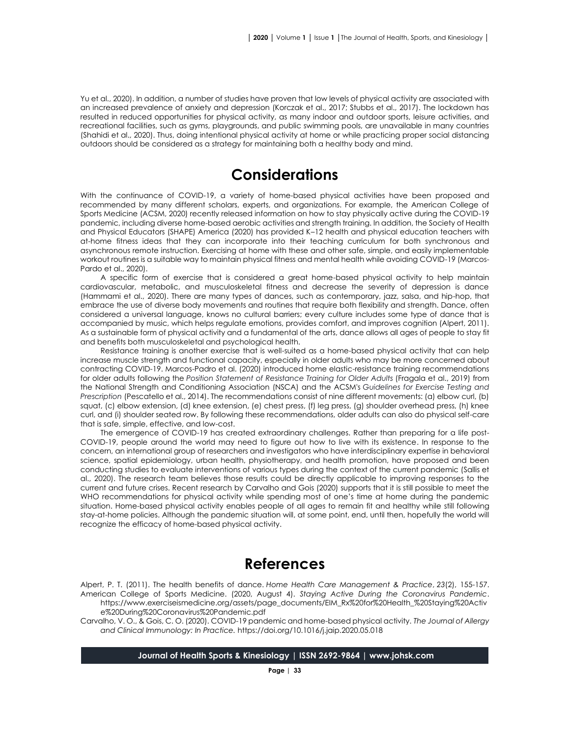Yu et al., 2020). In addition, a number of studies have proven that low levels of physical activity are associated with an increased prevalence of anxiety and depression (Korczak et al., 2017; Stubbs et al., 2017). The lockdown has resulted in reduced opportunities for physical activity, as many indoor and outdoor sports, leisure activities, and recreational facilities, such as gyms, playgrounds, and public swimming pools, are unavailable in many countries (Shahidi et al., 2020). Thus, doing intentional physical activity at home or while practicing proper social distancing outdoors should be considered as a strategy for maintaining both a healthy body and mind.

# **Considerations**

With the continuance of COVID-19, a variety of home-based physical activities have been proposed and recommended by many different scholars, experts, and organizations. For example, the American College of Sports Medicine (ACSM, 2020) recently released information on how to stay physically active during the COVID-19 pandemic, including diverse home-based aerobic activities and strength training. In addition, the Society of Health and Physical Educators (SHAPE) America (2020) has provided K–12 health and physical education teachers with at-home fitness ideas that they can incorporate into their teaching curriculum for both synchronous and asynchronous remote instruction. Exercising at home with these and other safe, simple, and easily implementable workout routines is a suitable way to maintain physical fitness and mental health while avoiding COVID-19 (Marcos-Pardo et al., 2020).

A specific form of exercise that is considered a great home-based physical activity to help maintain cardiovascular, metabolic, and musculoskeletal fitness and decrease the severity of depression is dance (Hammami et al., 2020). There are many types of dances, such as contemporary, jazz, salsa, and hip-hop, that embrace the use of diverse body movements and routines that require both flexibility and strength. Dance, often considered a universal language, knows no cultural barriers; every culture includes some type of dance that is accompanied by music, which helps regulate emotions, provides comfort, and improves cognition (Alpert, 2011). As a sustainable form of physical activity and a fundamental of the arts, dance allows all ages of people to stay fit and benefits both musculoskeletal and psychological health.

Resistance training is another exercise that is well-suited as a home-based physical activity that can help increase muscle strength and functional capacity, especially in older adults who may be more concerned about contracting COVID-19. Marcos-Padro et al. (2020) introduced home elastic-resistance training recommendations for older adults following the *Position Statement of Resistance Training for Older Adults* (Fragala et al., 2019) from the National Strength and Conditioning Association (NSCA) and the ACSM's *Guidelines for Exercise Testing and Prescription* (Pescatello et al., 2014). The recommendations consist of nine different movements: (a) elbow curl, (b) squat, (c) elbow extension, (d) knee extension, (e) chest press, (f) leg press, (g) shoulder overhead press, (h) knee curl, and (i) shoulder seated row. By following these recommendations, older adults can also do physical self-care that is safe, simple, effective, and low-cost.

The emergence of COVID-19 has created extraordinary challenges. Rather than preparing for a life post-COVID-19, people around the world may need to figure out how to live with its existence. In response to the concern, an international group of researchers and investigators who have interdisciplinary expertise in behavioral science, spatial epidemiology, urban health, physiotherapy, and health promotion, have proposed and been conducting studies to evaluate interventions of various types during the context of the current pandemic (Sallis et al., 2020). The research team believes those results could be directly applicable to improving responses to the current and future crises. Recent research by Carvalho and Gois (2020) supports that it is still possible to meet the WHO recommendations for physical activity while spending most of one's time at home during the pandemic situation. Home-based physical activity enables people of all ages to remain fit and healthy while still following stay-at-home policies. Although the pandemic situation will, at some point, end, until then, hopefully the world will recognize the efficacy of home-based physical activity.

# **References**

Alpert, P. T. (2011). The health benefits of dance. *Home Health Care Management & Practice*, *23*(2), 155-157. American College of Sports Medicine. (2020, August 4). *Staying Active During the Coronavirus Pandemic*. [https://www.exerciseismedicine.org/assets/page\\_documents/EIM\\_Rx%20for%20Health\\_%20Staying%20Activ](https://www.exerciseismedicine.org/assets/page_documents/EIM_Rx%20for%20Health_%20Staying%20Activ%09e%20During%20Coronavirus%20Pandemic.pdf) [e%20During%20Coronavirus%20Pandemic.pdf](https://www.exerciseismedicine.org/assets/page_documents/EIM_Rx%20for%20Health_%20Staying%20Activ%09e%20During%20Coronavirus%20Pandemic.pdf)

Carvalho, V. O., & Gois, C. O. (2020). COVID-19 pandemic and home-based physical activity. *The Journal of Allergy and Clinical Immunology: In Practice.* <https://doi.org/10.1016/j.jaip.2020.05.018>

**Journal of Health Sports & Kinesiology | ISSN 2692-9864 | www.johsk.com**